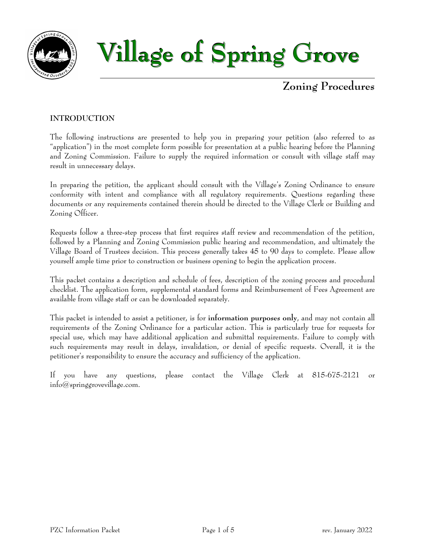



## **Zoning Procedures**

### **INTRODUCTION**

The following instructions are presented to help you in preparing your petition (also referred to as "application") in the most complete form possible for presentation at a public hearing before the Planning and Zoning Commission. Failure to supply the required information or consult with village staff may result in unnecessary delays.

In preparing the petition, the applicant should consult with the Village's Zoning Ordinance to ensure conformity with intent and compliance with all regulatory requirements. Questions regarding these documents or any requirements contained therein should be directed to the Village Clerk or Building and Zoning Officer.

Requests follow a three-step process that first requires staff review and recommendation of the petition, followed by a Planning and Zoning Commission public hearing and recommendation, and ultimately the Village Board of Trustees decision. This process generally takes 45 to 90 days to complete. Please allow yourself ample time prior to construction or business opening to begin the application process.

This packet contains a description and schedule of fees, description of the zoning process and procedural checklist. The application form, supplemental standard forms and Reimbursement of Fees Agreement are available from village staff or can be downloaded separately.

This packet is intended to assist a petitioner, is for **information purposes only**, and may not contain all requirements of the Zoning Ordinance for a particular action. This is particularly true for requests for special use, which may have additional application and submittal requirements. Failure to comply with such requirements may result in delays, invalidation, or denial of specific requests. Overall, it is the petitioner's responsibility to ensure the accuracy and sufficiency of the application.

If you have any questions, please contact the Village Clerk at  $815-675-2121$ info@springgrovevillage.com.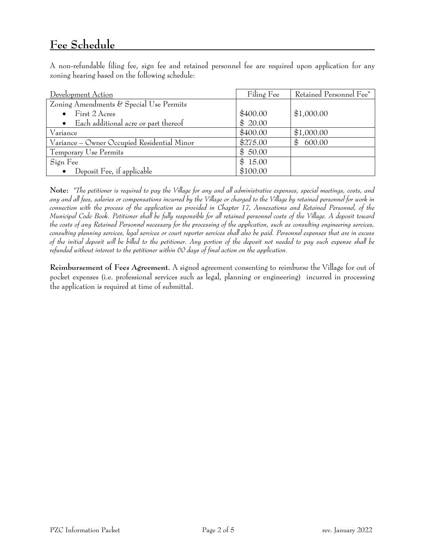# **Fee Schedule**

A non-refundable filing fee, sign fee and retained personnel fee are required upon application for any zoning hearing based on the following schedule:

| Development Action                                | Filing Fee | Retained Personnel Fee <sup>*</sup> |
|---------------------------------------------------|------------|-------------------------------------|
| Zoning Amendments & Special Use Permits           |            |                                     |
| First 2 Acres                                     | \$400.00   | \$1,000.00                          |
| Each additional acre or part thereof<br>$\bullet$ | \$20.00    |                                     |
| Variance                                          | \$400.00   | \$1,000.00                          |
| Variance - Owner Occupied Residential Minor       | \$275.00   | \$<br>600.00                        |
| Temporary Use Permits                             | \$50.00    |                                     |
| Sign Fee                                          | \$15.00    |                                     |
| Deposit Fee, if applicable                        | \$100.00   |                                     |

**Note:** *\*The petitioner is required to pay the Village for any and all administrative expenses, special meetings, costs, and any and all fees, salaries or compensations incurred by the Village or charged to the Village by retained personnel for work in connection with the process of the application as provided in Chapter 17, Annexations and Retained Personnel, of the Municipal Code Book. Petitioner shall be fully responsible for all retained personnel costs of the Village. A deposit toward the costs of any Retained Personnel necessary for the processing of the application, such as consulting engineering services, consulting planning services, legal services or court reporter services shall also be paid. Personnel expenses that are in excess of the initial deposit will be billed to the petitioner. Any portion of the deposit not needed to pay such expense shall be refunded without interest to the petitioner within 60 days of final action on the application.*

**Reimbursement of Fees Agreement.** A signed agreement consenting to reimburse the Village for out of pocket expenses (i.e. professional services such as legal, planning or engineering) incurred in processing the application is required at time of submittal.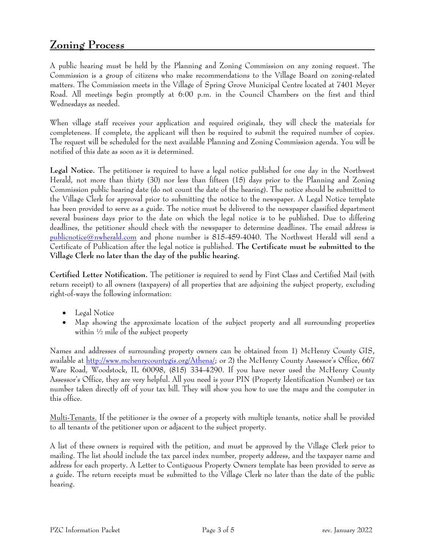## **Zoning Process**

A public hearing must be held by the Planning and Zoning Commission on any zoning request. The Commission is a group of citizens who make recommendations to the Village Board on zoning-related matters. The Commission meets in the Village of Spring Grove Municipal Centre located at 7401 Meyer Road. All meetings begin promptly at 6:00 p.m. in the Council Chambers on the first and third Wednesdays as needed.

When village staff receives your application and required originals, they will check the materials for completeness. If complete, the applicant will then be required to submit the required number of copies. The request will be scheduled for the next available Planning and Zoning Commission agenda. You will be notified of this date as soon as it is determined.

**Legal Notice.** The petitioner is required to have a legal notice published for one day in the Northwest Herald, not more than thirty (30) nor less than fifteen (15) days prior to the Planning and Zoning Commission public hearing date (do not count the date of the hearing). The notice should be submitted to the Village Clerk for approval prior to submitting the notice to the newspaper. A Legal Notice template has been provided to serve as a guide. The notice must be delivered to the newspaper classified department several business days prior to the date on which the legal notice is to be published. Due to differing deadlines, the petitioner should check with the newspaper to determine deadlines. The email address is [publicnotice@nwherald.com](mailto:publicnotice@nwherald.com) and phone number is 815-459-4040. The Northwest Herald will send a Certificate of Publication after the legal notice is published. **The Certificate must be submitted to the Village Clerk no later than the day of the public hearing.**

**Certified Letter Notification.** The petitioner is required to send by First Class and Certified Mail (with return receipt) to all owners (taxpayers) of all properties that are adjoining the subject property, excluding right-of-ways the following information:

- Legal Notice
- Map showing the approximate location of the subject property and all surrounding properties within  $\frac{1}{2}$  mile of the subject property

Names and addresses of surrounding property owners can be obtained from 1) McHenry County GIS, available at [http://www.mchenrycountygis.org/Athena/;](http://www.mchenrycountygis.org/Athena/) or 2) the McHenry County Assessor's Office, 667 Ware Road, Woodstock, IL 60098, (815) 334-4290. If you have never used the McHenry County Assessor's Office, they are very helpful. All you need is your PIN (Property Identification Number) or tax number taken directly off of your tax bill. They will show you how to use the maps and the computer in this office.

Multi-Tenants. If the petitioner is the owner of a property with multiple tenants, notice shall be provided to all tenants of the petitioner upon or adjacent to the subject property.

A list of these owners is required with the petition, and must be approved by the Village Clerk prior to mailing. The list should include the tax parcel index number, property address, and the taxpayer name and address for each property. A Letter to Contiguous Property Owners template has been provided to serve as a guide. The return receipts must be submitted to the Village Clerk no later than the date of the public hearing.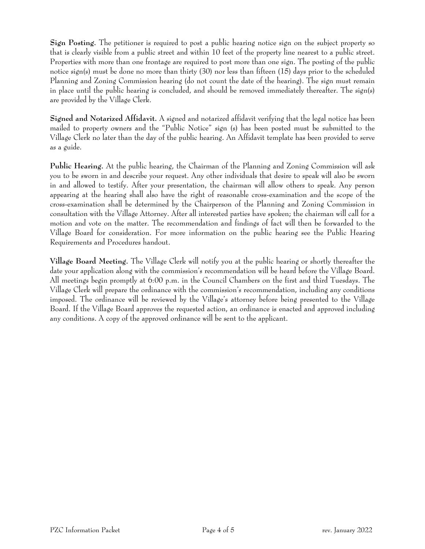**Sign Posting.** The petitioner is required to post a public hearing notice sign on the subject property so that is clearly visible from a public street and within 10 feet of the property line nearest to a public street. Properties with more than one frontage are required to post more than one sign. The posting of the public notice sign(s) must be done no more than thirty (30) nor less than fifteen (15) days prior to the scheduled Planning and Zoning Commission hearing (do not count the date of the hearing). The sign must remain in place until the public hearing is concluded, and should be removed immediately thereafter. The sign(s) are provided by the Village Clerk.

**Signed and Notarized Affidavit.** A signed and notarized affidavit verifying that the legal notice has been mailed to property owners and the "Public Notice" sign (s) has been posted must be submitted to the Village Clerk no later than the day of the public hearing. An Affidavit template has been provided to serve as a guide.

**Public Hearing.** At the public hearing, the Chairman of the Planning and Zoning Commission will ask you to be sworn in and describe your request. Any other individuals that desire to speak will also be sworn in and allowed to testify. After your presentation, the chairman will allow others to speak. Any person appearing at the hearing shall also have the right of reasonable cross-examination and the scope of the cross-examination shall be determined by the Chairperson of the Planning and Zoning Commission in consultation with the Village Attorney. After all interested parties have spoken; the chairman will call for a motion and vote on the matter. The recommendation and findings of fact will then be forwarded to the Village Board for consideration. For more information on the public hearing see the Public Hearing Requirements and Procedures handout.

**Village Board Meeting.** The Village Clerk will notify you at the public hearing or shortly thereafter the date your application along with the commission's recommendation will be heard before the Village Board. All meetings begin promptly at 6:00 p.m. in the Council Chambers on the first and third Tuesdays. The Village Clerk will prepare the ordinance with the commission's recommendation, including any conditions imposed. The ordinance will be reviewed by the Village's attorney before being presented to the Village Board. If the Village Board approves the requested action, an ordinance is enacted and approved including any conditions. A copy of the approved ordinance will be sent to the applicant.